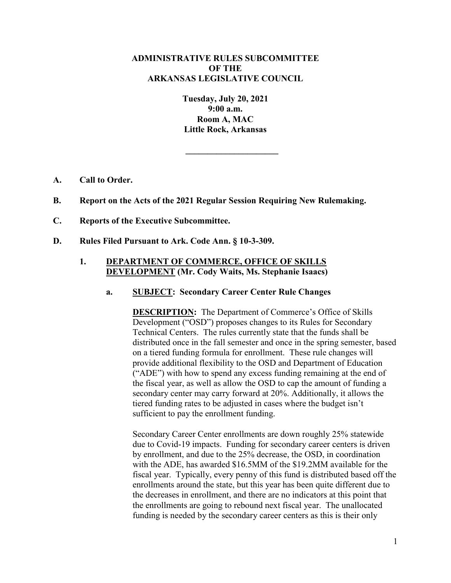# **ADMINISTRATIVE RULES SUBCOMMITTEE OF THE ARKANSAS LEGISLATIVE COUNCIL**

**Tuesday, July 20, 2021 9:00 a.m. Room A, MAC Little Rock, Arkansas**

**\_\_\_\_\_\_\_\_\_\_\_\_\_\_\_\_\_\_\_\_\_**

- **A. Call to Order.**
- **B. Report on the Acts of the 2021 Regular Session Requiring New Rulemaking.**
- **C. Reports of the Executive Subcommittee.**
- **D. Rules Filed Pursuant to Ark. Code Ann. § 10-3-309.**

# **1. DEPARTMENT OF COMMERCE, OFFICE OF SKILLS DEVELOPMENT (Mr. Cody Waits, Ms. Stephanie Isaacs)**

**a. SUBJECT: Secondary Career Center Rule Changes**

**DESCRIPTION:** The Department of Commerce's Office of Skills Development ("OSD") proposes changes to its Rules for Secondary Technical Centers. The rules currently state that the funds shall be distributed once in the fall semester and once in the spring semester, based on a tiered funding formula for enrollment. These rule changes will provide additional flexibility to the OSD and Department of Education ("ADE") with how to spend any excess funding remaining at the end of the fiscal year, as well as allow the OSD to cap the amount of funding a secondary center may carry forward at 20%. Additionally, it allows the tiered funding rates to be adjusted in cases where the budget isn't sufficient to pay the enrollment funding.

Secondary Career Center enrollments are down roughly 25% statewide due to Covid-19 impacts. Funding for secondary career centers is driven by enrollment, and due to the 25% decrease, the OSD, in coordination with the ADE, has awarded \$16.5MM of the \$19.2MM available for the fiscal year. Typically, every penny of this fund is distributed based off the enrollments around the state, but this year has been quite different due to the decreases in enrollment, and there are no indicators at this point that the enrollments are going to rebound next fiscal year. The unallocated funding is needed by the secondary career centers as this is their only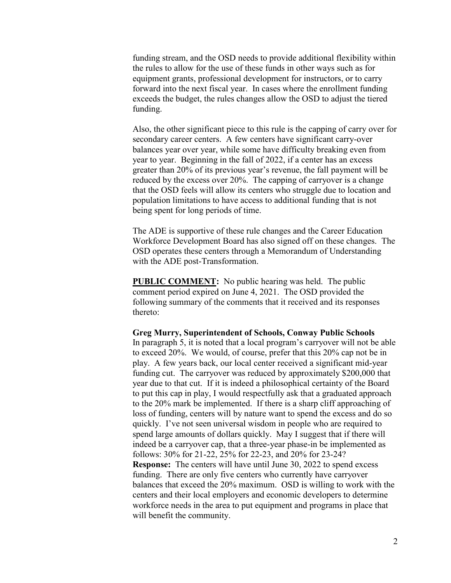funding stream, and the OSD needs to provide additional flexibility within the rules to allow for the use of these funds in other ways such as for equipment grants, professional development for instructors, or to carry forward into the next fiscal year. In cases where the enrollment funding exceeds the budget, the rules changes allow the OSD to adjust the tiered funding.

Also, the other significant piece to this rule is the capping of carry over for secondary career centers. A few centers have significant carry-over balances year over year, while some have difficulty breaking even from year to year. Beginning in the fall of 2022, if a center has an excess greater than 20% of its previous year's revenue, the fall payment will be reduced by the excess over 20%. The capping of carryover is a change that the OSD feels will allow its centers who struggle due to location and population limitations to have access to additional funding that is not being spent for long periods of time.

The ADE is supportive of these rule changes and the Career Education Workforce Development Board has also signed off on these changes. The OSD operates these centers through a Memorandum of Understanding with the ADE post-Transformation.

**PUBLIC COMMENT:** No public hearing was held. The public comment period expired on June 4, 2021. The OSD provided the following summary of the comments that it received and its responses thereto:

**Greg Murry, Superintendent of Schools, Conway Public Schools** In paragraph 5, it is noted that a local program's carryover will not be able to exceed 20%. We would, of course, prefer that this 20% cap not be in play. A few years back, our local center received a significant mid-year funding cut. The carryover was reduced by approximately \$200,000 that year due to that cut. If it is indeed a philosophical certainty of the Board to put this cap in play, I would respectfully ask that a graduated approach to the 20% mark be implemented. If there is a sharp cliff approaching of loss of funding, centers will by nature want to spend the excess and do so quickly. I've not seen universal wisdom in people who are required to spend large amounts of dollars quickly. May I suggest that if there will indeed be a carryover cap, that a three-year phase-in be implemented as follows: 30% for 21-22, 25% for 22-23, and 20% for 23-24? **Response:** The centers will have until June 30, 2022 to spend excess funding. There are only five centers who currently have carryover balances that exceed the 20% maximum. OSD is willing to work with the centers and their local employers and economic developers to determine workforce needs in the area to put equipment and programs in place that will benefit the community.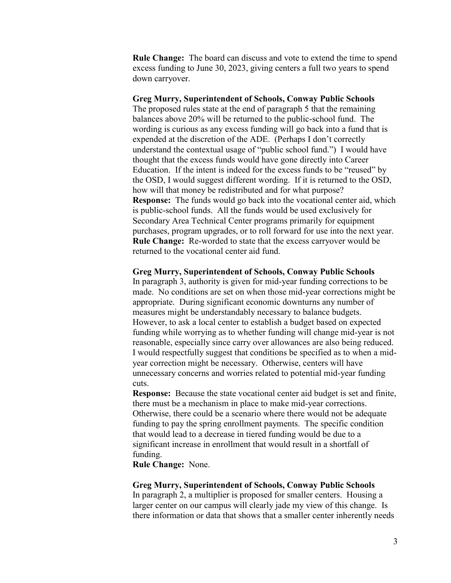**Rule Change:** The board can discuss and vote to extend the time to spend excess funding to June 30, 2023, giving centers a full two years to spend down carryover.

# **Greg Murry, Superintendent of Schools, Conway Public Schools**

The proposed rules state at the end of paragraph 5 that the remaining balances above 20% will be returned to the public-school fund. The wording is curious as any excess funding will go back into a fund that is expended at the discretion of the ADE. (Perhaps I don't correctly understand the contextual usage of "public school fund.") I would have thought that the excess funds would have gone directly into Career Education. If the intent is indeed for the excess funds to be "reused" by the OSD, I would suggest different wording. If it is returned to the OSD, how will that money be redistributed and for what purpose? **Response:** The funds would go back into the vocational center aid, which is public-school funds. All the funds would be used exclusively for Secondary Area Technical Center programs primarily for equipment purchases, program upgrades, or to roll forward for use into the next year. **Rule Change:** Re-worded to state that the excess carryover would be returned to the vocational center aid fund.

### **Greg Murry, Superintendent of Schools, Conway Public Schools**

In paragraph 3, authority is given for mid-year funding corrections to be made. No conditions are set on when those mid-year corrections might be appropriate. During significant economic downturns any number of measures might be understandably necessary to balance budgets. However, to ask a local center to establish a budget based on expected funding while worrying as to whether funding will change mid-year is not reasonable, especially since carry over allowances are also being reduced. I would respectfully suggest that conditions be specified as to when a midyear correction might be necessary. Otherwise, centers will have unnecessary concerns and worries related to potential mid-year funding cuts.

**Response:** Because the state vocational center aid budget is set and finite, there must be a mechanism in place to make mid-year corrections. Otherwise, there could be a scenario where there would not be adequate funding to pay the spring enrollment payments. The specific condition that would lead to a decrease in tiered funding would be due to a significant increase in enrollment that would result in a shortfall of funding.

**Rule Change:** None.

### **Greg Murry, Superintendent of Schools, Conway Public Schools**

In paragraph 2, a multiplier is proposed for smaller centers. Housing a larger center on our campus will clearly jade my view of this change. Is there information or data that shows that a smaller center inherently needs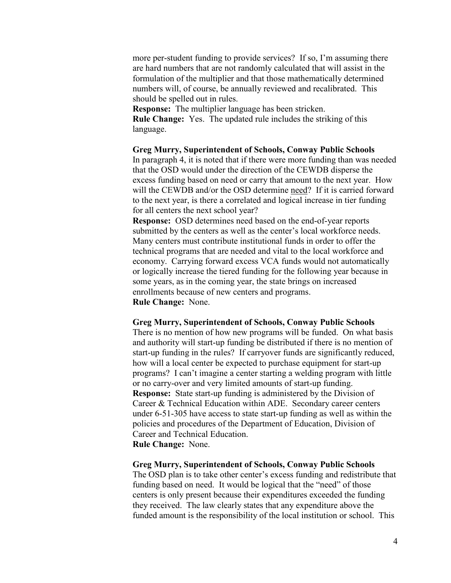more per-student funding to provide services? If so, I'm assuming there are hard numbers that are not randomly calculated that will assist in the formulation of the multiplier and that those mathematically determined numbers will, of course, be annually reviewed and recalibrated. This should be spelled out in rules.

**Response:** The multiplier language has been stricken.

**Rule Change:** Yes. The updated rule includes the striking of this language.

**Greg Murry, Superintendent of Schools, Conway Public Schools** In paragraph 4, it is noted that if there were more funding than was needed

that the OSD would under the direction of the CEWDB disperse the excess funding based on need or carry that amount to the next year. How will the CEWDB and/or the OSD determine need? If it is carried forward to the next year, is there a correlated and logical increase in tier funding for all centers the next school year?

**Response:** OSD determines need based on the end-of-year reports submitted by the centers as well as the center's local workforce needs. Many centers must contribute institutional funds in order to offer the technical programs that are needed and vital to the local workforce and economy. Carrying forward excess VCA funds would not automatically or logically increase the tiered funding for the following year because in some years, as in the coming year, the state brings on increased enrollments because of new centers and programs. **Rule Change:** None.

#### **Greg Murry, Superintendent of Schools, Conway Public Schools**

There is no mention of how new programs will be funded. On what basis and authority will start-up funding be distributed if there is no mention of start-up funding in the rules? If carryover funds are significantly reduced, how will a local center be expected to purchase equipment for start-up programs? I can't imagine a center starting a welding program with little or no carry-over and very limited amounts of start-up funding. **Response:** State start-up funding is administered by the Division of Career & Technical Education within ADE. Secondary career centers under 6-51-305 have access to state start-up funding as well as within the policies and procedures of the Department of Education, Division of Career and Technical Education. **Rule Change:** None.

### **Greg Murry, Superintendent of Schools, Conway Public Schools**

The OSD plan is to take other center's excess funding and redistribute that funding based on need. It would be logical that the "need" of those centers is only present because their expenditures exceeded the funding they received. The law clearly states that any expenditure above the funded amount is the responsibility of the local institution or school. This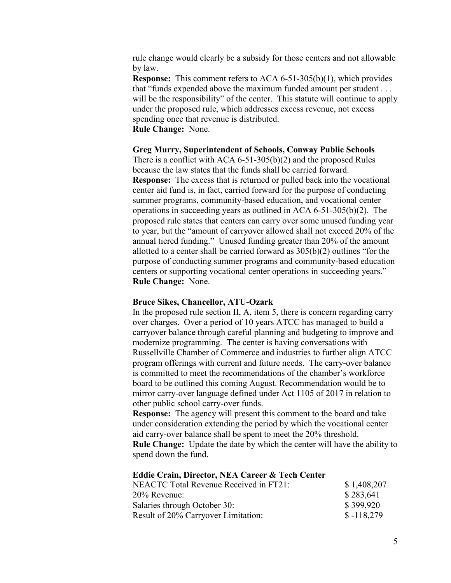rule change would clearly be a subsidy for those centers and not allowable by law.

**Response:** This comment refers to ACA 6-51-305(b)(1), which provides that "funds expended above the maximum funded amount per student . . . will be the responsibility" of the center. This statute will continue to apply under the proposed rule, which addresses excess revenue, not excess spending once that revenue is distributed. **Rule Change:** None.

#### **Greg Murry, Superintendent of Schools, Conway Public Schools**

There is a conflict with ACA 6-51-305(b)(2) and the proposed Rules because the law states that the funds shall be carried forward. **Response:** The excess that is returned or pulled back into the vocational center aid fund is, in fact, carried forward for the purpose of conducting summer programs, community-based education, and vocational center operations in succeeding years as outlined in ACA 6-51-305(b)(2). The proposed rule states that centers can carry over some unused funding year to year, but the "amount of carryover allowed shall not exceed 20% of the annual tiered funding." Unused funding greater than 20% of the amount allotted to a center shall be carried forward as 305(b)(2) outlines "for the purpose of conducting summer programs and community-based education centers or supporting vocational center operations in succeeding years." **Rule Change:** None.

#### **Bruce Sikes, Chancellor, ATU-Ozark**

In the proposed rule section II, A, item 5, there is concern regarding carry over charges. Over a period of 10 years ATCC has managed to build a carryover balance through careful planning and budgeting to improve and modernize programming. The center is having conversations with Russellville Chamber of Commerce and industries to further align ATCC program offerings with current and future needs. The carry-over balance is committed to meet the recommendations of the chamber's workforce board to be outlined this coming August. Recommendation would be to mirror carry-over language defined under Act 1105 of 2017 in relation to other public school carry-over funds.

**Response:** The agency will present this comment to the board and take under consideration extending the period by which the vocational center aid carry-over balance shall be spent to meet the 20% threshold.

**Rule Change:** Update the date by which the center will have the ability to spend down the fund.

#### **Eddie Crain, Director, NEA Career & Tech Center**

| NEACTC Total Revenue Received in FT21: | \$1,408,207  |
|----------------------------------------|--------------|
| $20\%$ Revenue:                        | \$283,641    |
| Salaries through October 30:           | \$399,920    |
| Result of 20% Carryover Limitation:    | $$ -118,279$ |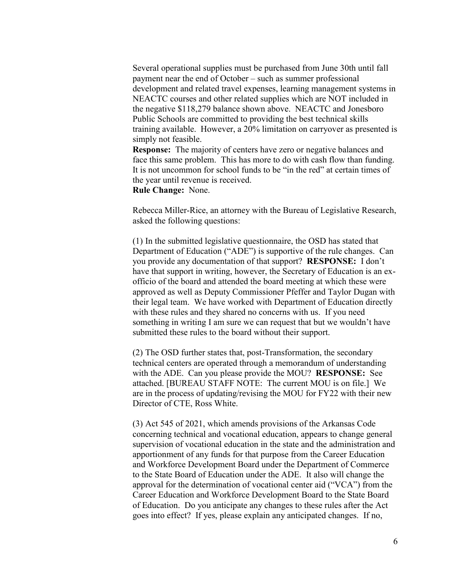Several operational supplies must be purchased from June 30th until fall payment near the end of October – such as summer professional development and related travel expenses, learning management systems in NEACTC courses and other related supplies which are NOT included in the negative \$118,279 balance shown above. NEACTC and Jonesboro Public Schools are committed to providing the best technical skills training available. However, a 20% limitation on carryover as presented is simply not feasible.

**Response:** The majority of centers have zero or negative balances and face this same problem. This has more to do with cash flow than funding. It is not uncommon for school funds to be "in the red" at certain times of the year until revenue is received.

**Rule Change:** None.

Rebecca Miller-Rice, an attorney with the Bureau of Legislative Research, asked the following questions:

(1) In the submitted legislative questionnaire, the OSD has stated that Department of Education ("ADE") is supportive of the rule changes. Can you provide any documentation of that support? **RESPONSE:** I don't have that support in writing, however, the Secretary of Education is an exofficio of the board and attended the board meeting at which these were approved as well as Deputy Commissioner Pfeffer and Taylor Dugan with their legal team. We have worked with Department of Education directly with these rules and they shared no concerns with us. If you need something in writing I am sure we can request that but we wouldn't have submitted these rules to the board without their support.

(2) The OSD further states that, post-Transformation, the secondary technical centers are operated through a memorandum of understanding with the ADE. Can you please provide the MOU? **RESPONSE:** See attached. [BUREAU STAFF NOTE: The current MOU is on file.] We are in the process of updating/revising the MOU for FY22 with their new Director of CTE, Ross White.

(3) Act 545 of 2021, which amends provisions of the Arkansas Code concerning technical and vocational education, appears to change general supervision of vocational education in the state and the administration and apportionment of any funds for that purpose from the Career Education and Workforce Development Board under the Department of Commerce to the State Board of Education under the ADE. It also will change the approval for the determination of vocational center aid ("VCA") from the Career Education and Workforce Development Board to the State Board of Education. Do you anticipate any changes to these rules after the Act goes into effect? If yes, please explain any anticipated changes. If no,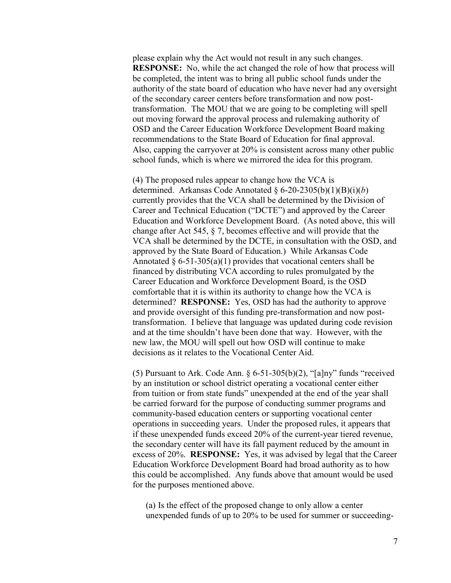please explain why the Act would not result in any such changes. **RESPONSE:** No, while the act changed the role of how that process will be completed, the intent was to bring all public school funds under the authority of the state board of education who have never had any oversight of the secondary career centers before transformation and now posttransformation. The MOU that we are going to be completing will spell out moving forward the approval process and rulemaking authority of OSD and the Career Education Workforce Development Board making recommendations to the State Board of Education for final approval. Also, capping the carryover at 20% is consistent across many other public school funds, which is where we mirrored the idea for this program.

(4) The proposed rules appear to change how the VCA is determined. Arkansas Code Annotated § 6-20-2305(b)(1)(B)(i)(*b*) currently provides that the VCA shall be determined by the Division of Career and Technical Education ("DCTE") and approved by the Career Education and Workforce Development Board. (As noted above, this will change after Act 545, § 7, becomes effective and will provide that the VCA shall be determined by the DCTE, in consultation with the OSD, and approved by the State Board of Education.) While Arkansas Code Annotated  $\S 6-51-305(a)(1)$  provides that vocational centers shall be financed by distributing VCA according to rules promulgated by the Career Education and Workforce Development Board, is the OSD comfortable that it is within its authority to change how the VCA is determined? **RESPONSE:** Yes, OSD has had the authority to approve and provide oversight of this funding pre-transformation and now posttransformation. I believe that language was updated during code revision and at the time shouldn't have been done that way. However, with the new law, the MOU will spell out how OSD will continue to make decisions as it relates to the Vocational Center Aid.

(5) Pursuant to Ark. Code Ann.  $\S 6-51-305(b)(2)$ , "[a]ny" funds "received by an institution or school district operating a vocational center either from tuition or from state funds" unexpended at the end of the year shall be carried forward for the purpose of conducting summer programs and community-based education centers or supporting vocational center operations in succeeding years. Under the proposed rules, it appears that if these unexpended funds exceed 20% of the current-year tiered revenue, the secondary center will have its fall payment reduced by the amount in excess of 20%. **RESPONSE:** Yes, it was advised by legal that the Career Education Workforce Development Board had broad authority as to how this could be accomplished. Any funds above that amount would be used for the purposes mentioned above.

(a) Is the effect of the proposed change to only allow a center unexpended funds of up to 20% to be used for summer or succeeding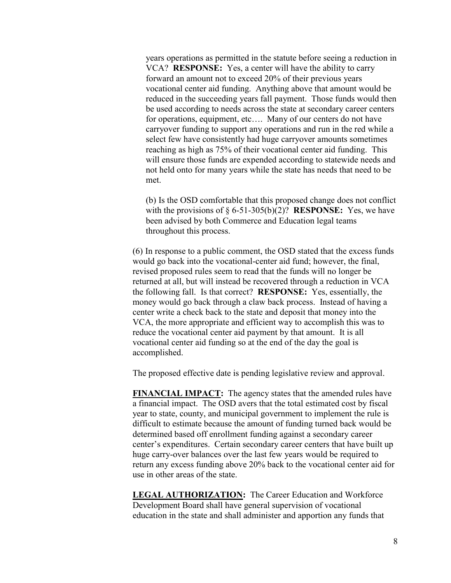years operations as permitted in the statute before seeing a reduction in VCA? **RESPONSE:** Yes, a center will have the ability to carry forward an amount not to exceed 20% of their previous years vocational center aid funding. Anything above that amount would be reduced in the succeeding years fall payment. Those funds would then be used according to needs across the state at secondary career centers for operations, equipment, etc.... Many of our centers do not have carryover funding to support any operations and run in the red while a select few have consistently had huge carryover amounts sometimes reaching as high as 75% of their vocational center aid funding. This will ensure those funds are expended according to statewide needs and not held onto for many years while the state has needs that need to be met.

(b) Is the OSD comfortable that this proposed change does not conflict with the provisions of § 6-51-305(b)(2)? **RESPONSE:** Yes, we have been advised by both Commerce and Education legal teams throughout this process.

(6) In response to a public comment, the OSD stated that the excess funds would go back into the vocational-center aid fund; however, the final, revised proposed rules seem to read that the funds will no longer be returned at all, but will instead be recovered through a reduction in VCA the following fall. Is that correct? **RESPONSE:** Yes, essentially, the money would go back through a claw back process. Instead of having a center write a check back to the state and deposit that money into the VCA, the more appropriate and efficient way to accomplish this was to reduce the vocational center aid payment by that amount. It is all vocational center aid funding so at the end of the day the goal is accomplished.

The proposed effective date is pending legislative review and approval.

**FINANCIAL IMPACT:** The agency states that the amended rules have a financial impact. The OSD avers that the total estimated cost by fiscal year to state, county, and municipal government to implement the rule is difficult to estimate because the amount of funding turned back would be determined based off enrollment funding against a secondary career center's expenditures. Certain secondary career centers that have built up huge carry-over balances over the last few years would be required to return any excess funding above 20% back to the vocational center aid for use in other areas of the state.

**LEGAL AUTHORIZATION:** The Career Education and Workforce Development Board shall have general supervision of vocational education in the state and shall administer and apportion any funds that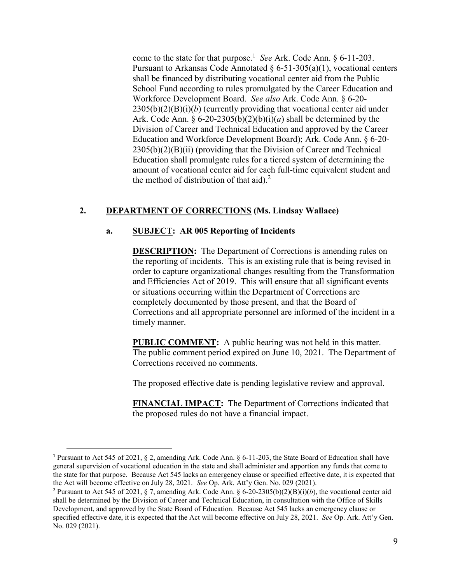come to the state for that purpose.<sup>1</sup> *See* Ark. Code Ann. § 6-11-203. Pursuant to Arkansas Code Annotated  $\S 6-51-305(a)(1)$ , vocational centers shall be financed by distributing vocational center aid from the Public School Fund according to rules promulgated by the Career Education and Workforce Development Board. *See also* Ark. Code Ann. § 6-20- 2305(b)(2)(B)(i)(*b*) (currently providing that vocational center aid under Ark. Code Ann.  $\S 6-20-2305(b)(2)(b)(i)(a)$  shall be determined by the Division of Career and Technical Education and approved by the Career Education and Workforce Development Board); Ark. Code Ann. § 6-20-  $2305(b)(2)(B)(ii)$  (providing that the Division of Career and Technical Education shall promulgate rules for a tiered system of determining the amount of vocational center aid for each full-time equivalent student and the method of distribution of that aid). $<sup>2</sup>$ </sup>

# **2. DEPARTMENT OF CORRECTIONS (Ms. Lindsay Wallace)**

## **a. SUBJECT: AR 005 Reporting of Incidents**

**DESCRIPTION:** The Department of Corrections is amending rules on the reporting of incidents. This is an existing rule that is being revised in order to capture organizational changes resulting from the Transformation and Efficiencies Act of 2019. This will ensure that all significant events or situations occurring within the Department of Corrections are completely documented by those present, and that the Board of Corrections and all appropriate personnel are informed of the incident in a timely manner.

**PUBLIC COMMENT:** A public hearing was not held in this matter. The public comment period expired on June 10, 2021. The Department of Corrections received no comments.

The proposed effective date is pending legislative review and approval.

**FINANCIAL IMPACT:** The Department of Corrections indicated that the proposed rules do not have a financial impact.

 $\overline{a}$ 

<sup>1</sup> Pursuant to Act 545 of 2021, § 2, amending Ark. Code Ann. § 6-11-203, the State Board of Education shall have general supervision of vocational education in the state and shall administer and apportion any funds that come to the state for that purpose. Because Act 545 lacks an emergency clause or specified effective date, it is expected that the Act will become effective on July 28, 2021. *See* Op. Ark. Att'y Gen. No. 029 (2021).

<sup>&</sup>lt;sup>2</sup> Pursuant to Act 545 of 2021, § 7, amending Ark. Code Ann. § 6-20-2305(b)(2)(B)(i)(*b*), the vocational center aid shall be determined by the Division of Career and Technical Education, in consultation with the Office of Skills Development, and approved by the State Board of Education. Because Act 545 lacks an emergency clause or specified effective date, it is expected that the Act will become effective on July 28, 2021. *See* Op. Ark. Att'y Gen. No. 029 (2021).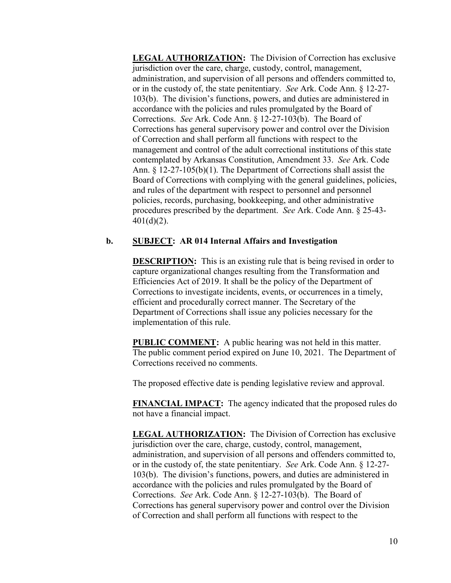**LEGAL AUTHORIZATION:** The Division of Correction has exclusive jurisdiction over the care, charge, custody, control, management, administration, and supervision of all persons and offenders committed to, or in the custody of, the state penitentiary. *See* Ark. Code Ann. § 12-27- 103(b). The division's functions, powers, and duties are administered in accordance with the policies and rules promulgated by the Board of Corrections. *See* Ark. Code Ann. § 12-27-103(b). The Board of Corrections has general supervisory power and control over the Division of Correction and shall perform all functions with respect to the management and control of the adult correctional institutions of this state contemplated by Arkansas Constitution, Amendment 33. *See* Ark. Code Ann. § 12-27-105(b)(1). The Department of Corrections shall assist the Board of Corrections with complying with the general guidelines, policies, and rules of the department with respect to personnel and personnel policies, records, purchasing, bookkeeping, and other administrative procedures prescribed by the department. *See* Ark. Code Ann. § 25-43-  $401(d)(2)$ .

# **b. SUBJECT: AR 014 Internal Affairs and Investigation**

**DESCRIPTION:** This is an existing rule that is being revised in order to capture organizational changes resulting from the Transformation and Efficiencies Act of 2019. It shall be the policy of the Department of Corrections to investigate incidents, events, or occurrences in a timely, efficient and procedurally correct manner. The Secretary of the Department of Corrections shall issue any policies necessary for the implementation of this rule.

**PUBLIC COMMENT:** A public hearing was not held in this matter. The public comment period expired on June 10, 2021. The Department of Corrections received no comments.

The proposed effective date is pending legislative review and approval.

**FINANCIAL IMPACT:** The agency indicated that the proposed rules do not have a financial impact.

**LEGAL AUTHORIZATION:** The Division of Correction has exclusive jurisdiction over the care, charge, custody, control, management, administration, and supervision of all persons and offenders committed to, or in the custody of, the state penitentiary. *See* Ark. Code Ann. § 12-27- 103(b). The division's functions, powers, and duties are administered in accordance with the policies and rules promulgated by the Board of Corrections. *See* Ark. Code Ann. § 12-27-103(b). The Board of Corrections has general supervisory power and control over the Division of Correction and shall perform all functions with respect to the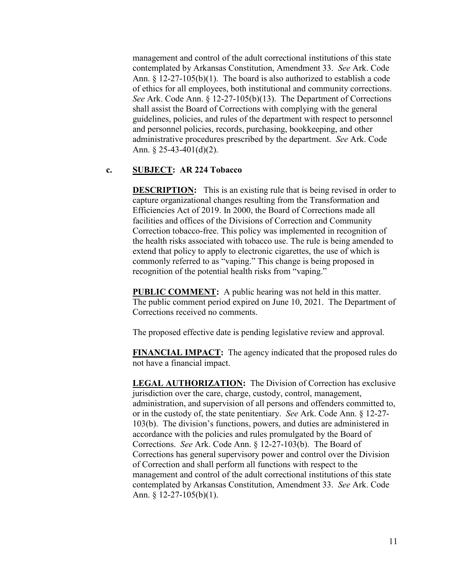management and control of the adult correctional institutions of this state contemplated by Arkansas Constitution, Amendment 33. *See* Ark. Code Ann. § 12-27-105(b)(1). The board is also authorized to establish a code of ethics for all employees, both institutional and community corrections. *See* Ark. Code Ann. § 12-27-105(b)(13). The Department of Corrections shall assist the Board of Corrections with complying with the general guidelines, policies, and rules of the department with respect to personnel and personnel policies, records, purchasing, bookkeeping, and other administrative procedures prescribed by the department. *See* Ark. Code Ann. § 25-43-401(d)(2).

# **c. SUBJECT: AR 224 Tobacco**

**DESCRIPTION:** This is an existing rule that is being revised in order to capture organizational changes resulting from the Transformation and Efficiencies Act of 2019. In 2000, the Board of Corrections made all facilities and offices of the Divisions of Correction and Community Correction tobacco-free. This policy was implemented in recognition of the health risks associated with tobacco use. The rule is being amended to extend that policy to apply to electronic cigarettes, the use of which is commonly referred to as "vaping." This change is being proposed in recognition of the potential health risks from "vaping."

**PUBLIC COMMENT:** A public hearing was not held in this matter. The public comment period expired on June 10, 2021. The Department of Corrections received no comments.

The proposed effective date is pending legislative review and approval.

**FINANCIAL IMPACT:** The agency indicated that the proposed rules do not have a financial impact.

**LEGAL AUTHORIZATION:** The Division of Correction has exclusive jurisdiction over the care, charge, custody, control, management, administration, and supervision of all persons and offenders committed to, or in the custody of, the state penitentiary. *See* Ark. Code Ann. § 12-27- 103(b). The division's functions, powers, and duties are administered in accordance with the policies and rules promulgated by the Board of Corrections. *See* Ark. Code Ann. § 12-27-103(b). The Board of Corrections has general supervisory power and control over the Division of Correction and shall perform all functions with respect to the management and control of the adult correctional institutions of this state contemplated by Arkansas Constitution, Amendment 33. *See* Ark. Code Ann. § 12-27-105(b)(1).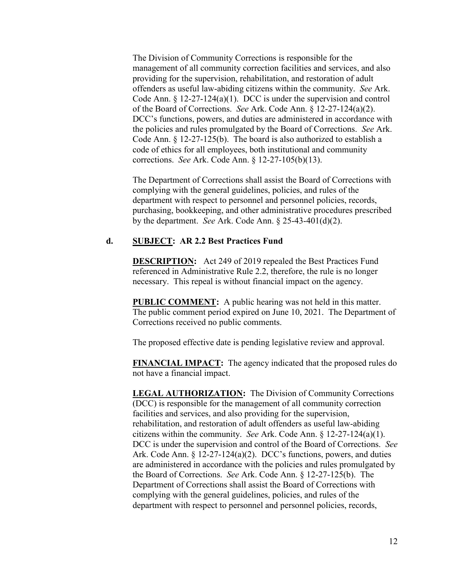The Division of Community Corrections is responsible for the management of all community correction facilities and services, and also providing for the supervision, rehabilitation, and restoration of adult offenders as useful law-abiding citizens within the community. *See* Ark. Code Ann. § 12-27-124(a)(1). DCC is under the supervision and control of the Board of Corrections. *See* Ark. Code Ann. § 12-27-124(a)(2). DCC's functions, powers, and duties are administered in accordance with the policies and rules promulgated by the Board of Corrections. *See* Ark. Code Ann. § 12-27-125(b). The board is also authorized to establish a code of ethics for all employees, both institutional and community corrections. *See* Ark. Code Ann. § 12-27-105(b)(13).

The Department of Corrections shall assist the Board of Corrections with complying with the general guidelines, policies, and rules of the department with respect to personnel and personnel policies, records, purchasing, bookkeeping, and other administrative procedures prescribed by the department. *See* Ark. Code Ann. § 25-43-401(d)(2).

### **d. SUBJECT: AR 2.2 Best Practices Fund**

**DESCRIPTION:** Act 249 of 2019 repealed the Best Practices Fund referenced in Administrative Rule 2.2, therefore, the rule is no longer necessary. This repeal is without financial impact on the agency.

**PUBLIC COMMENT:** A public hearing was not held in this matter. The public comment period expired on June 10, 2021. The Department of Corrections received no public comments.

The proposed effective date is pending legislative review and approval.

**FINANCIAL IMPACT:** The agency indicated that the proposed rules do not have a financial impact.

**LEGAL AUTHORIZATION:** The Division of Community Corrections (DCC) is responsible for the management of all community correction facilities and services, and also providing for the supervision, rehabilitation, and restoration of adult offenders as useful law-abiding citizens within the community. *See* Ark. Code Ann. § 12-27-124(a)(1). DCC is under the supervision and control of the Board of Corrections. *See* Ark. Code Ann.  $\S 12-27-124(a)(2)$ . DCC's functions, powers, and duties are administered in accordance with the policies and rules promulgated by the Board of Corrections. *See* Ark. Code Ann. § 12-27-125(b). The Department of Corrections shall assist the Board of Corrections with complying with the general guidelines, policies, and rules of the department with respect to personnel and personnel policies, records,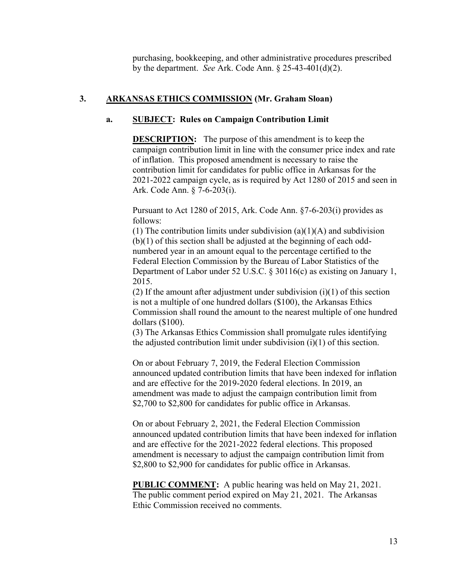purchasing, bookkeeping, and other administrative procedures prescribed by the department. *See* Ark. Code Ann. § 25-43-401(d)(2).

# **3. ARKANSAS ETHICS COMMISSION (Mr. Graham Sloan)**

# **a. SUBJECT: Rules on Campaign Contribution Limit**

**DESCRIPTION:** The purpose of this amendment is to keep the campaign contribution limit in line with the consumer price index and rate of inflation. This proposed amendment is necessary to raise the contribution limit for candidates for public office in Arkansas for the 2021-2022 campaign cycle, as is required by Act 1280 of 2015 and seen in Ark. Code Ann. § 7-6-203(i).

Pursuant to Act 1280 of 2015, Ark. Code Ann. §7-6-203(i) provides as follows:

(1) The contribution limits under subdivision  $(a)(1)(A)$  and subdivision (b)(1) of this section shall be adjusted at the beginning of each oddnumbered year in an amount equal to the percentage certified to the Federal Election Commission by the Bureau of Labor Statistics of the Department of Labor under 52 U.S.C. § 30116(c) as existing on January 1, 2015.

(2) If the amount after adjustment under subdivision  $(i)(1)$  of this section is not a multiple of one hundred dollars (\$100), the Arkansas Ethics Commission shall round the amount to the nearest multiple of one hundred dollars (\$100).

(3) The Arkansas Ethics Commission shall promulgate rules identifying the adjusted contribution limit under subdivision (i)(1) of this section.

On or about February 7, 2019, the Federal Election Commission announced updated contribution limits that have been indexed for inflation and are effective for the 2019-2020 federal elections. In 2019, an amendment was made to adjust the campaign contribution limit from \$2,700 to \$2,800 for candidates for public office in Arkansas.

On or about February 2, 2021, the Federal Election Commission announced updated contribution limits that have been indexed for inflation and are effective for the 2021-2022 federal elections. This proposed amendment is necessary to adjust the campaign contribution limit from \$2,800 to \$2,900 for candidates for public office in Arkansas.

**PUBLIC COMMENT:** A public hearing was held on May 21, 2021. The public comment period expired on May 21, 2021. The Arkansas Ethic Commission received no comments.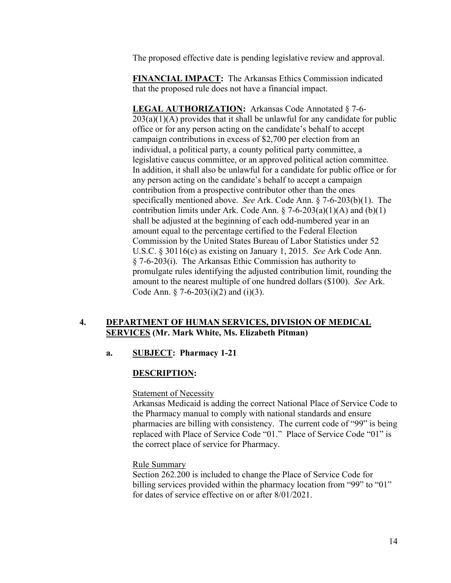The proposed effective date is pending legislative review and approval.

**FINANCIAL IMPACT:** The Arkansas Ethics Commission indicated that the proposed rule does not have a financial impact.

**LEGAL AUTHORIZATION:** Arkansas Code Annotated § 7-6-  $203(a)(1)(A)$  provides that it shall be unlawful for any candidate for public office or for any person acting on the candidate's behalf to accept campaign contributions in excess of \$2,700 per election from an individual, a political party, a county political party committee, a legislative caucus committee, or an approved political action committee. In addition, it shall also be unlawful for a candidate for public office or for any person acting on the candidate's behalf to accept a campaign contribution from a prospective contributor other than the ones specifically mentioned above. *See* Ark. Code Ann. § 7-6-203(b)(1). The contribution limits under Ark. Code Ann.  $\S$  7-6-203(a)(1)(A) and (b)(1) shall be adjusted at the beginning of each odd-numbered year in an amount equal to the percentage certified to the Federal Election Commission by the United States Bureau of Labor Statistics under 52 U.S.C. § 30116(c) as existing on January 1, 2015. *See* Ark Code Ann. § 7-6-203(i). The Arkansas Ethic Commission has authority to promulgate rules identifying the adjusted contribution limit, rounding the amount to the nearest multiple of one hundred dollars (\$100). *See* Ark. Code Ann.  $\S$  7-6-203(i)(2) and (i)(3).

# **4. DEPARTMENT OF HUMAN SERVICES, DIVISION OF MEDICAL SERVICES (Mr. Mark White, Ms. Elizabeth Pitman)**

## **a. SUBJECT: Pharmacy 1-21**

## **DESCRIPTION:**

# **Statement of Necessity**

Arkansas Medicaid is adding the correct National Place of Service Code to the Pharmacy manual to comply with national standards and ensure pharmacies are billing with consistency. The current code of "99" is being replaced with Place of Service Code "01." Place of Service Code "01" is the correct place of service for Pharmacy.

## Rule Summary

Section 262.200 is included to change the Place of Service Code for billing services provided within the pharmacy location from "99" to "01" for dates of service effective on or after 8/01/2021.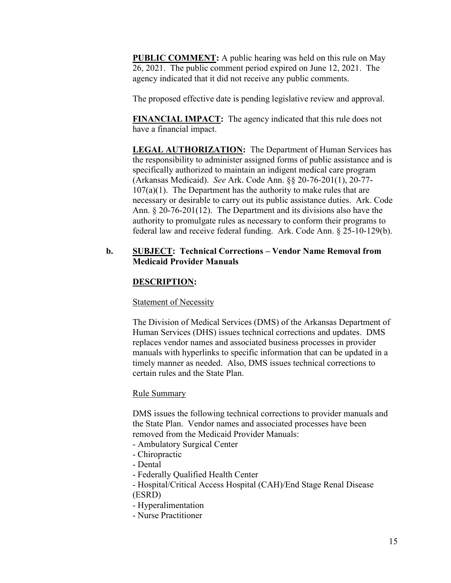**PUBLIC COMMENT:** A public hearing was held on this rule on May 26, 2021. The public comment period expired on June 12, 2021. The agency indicated that it did not receive any public comments.

The proposed effective date is pending legislative review and approval.

**FINANCIAL IMPACT:** The agency indicated that this rule does not have a financial impact.

**LEGAL AUTHORIZATION:** The Department of Human Services has the responsibility to administer assigned forms of public assistance and is specifically authorized to maintain an indigent medical care program (Arkansas Medicaid). *See* Ark. Code Ann. §§ 20-76-201(1), 20-77-  $107(a)(1)$ . The Department has the authority to make rules that are necessary or desirable to carry out its public assistance duties. Ark. Code Ann. § 20-76-201(12). The Department and its divisions also have the authority to promulgate rules as necessary to conform their programs to federal law and receive federal funding. Ark. Code Ann. § 25-10-129(b).

# **b. SUBJECT: Technical Corrections – Vendor Name Removal from Medicaid Provider Manuals**

# **DESCRIPTION:**

## Statement of Necessity

The Division of Medical Services (DMS) of the Arkansas Department of Human Services (DHS) issues technical corrections and updates. DMS replaces vendor names and associated business processes in provider manuals with hyperlinks to specific information that can be updated in a timely manner as needed. Also, DMS issues technical corrections to certain rules and the State Plan.

## Rule Summary

DMS issues the following technical corrections to provider manuals and the State Plan. Vendor names and associated processes have been removed from the Medicaid Provider Manuals:

- Ambulatory Surgical Center
- Chiropractic
- Dental
- Federally Qualified Health Center
- Hospital/Critical Access Hospital (CAH)/End Stage Renal Disease (ESRD)
- Hyperalimentation
- Nurse Practitioner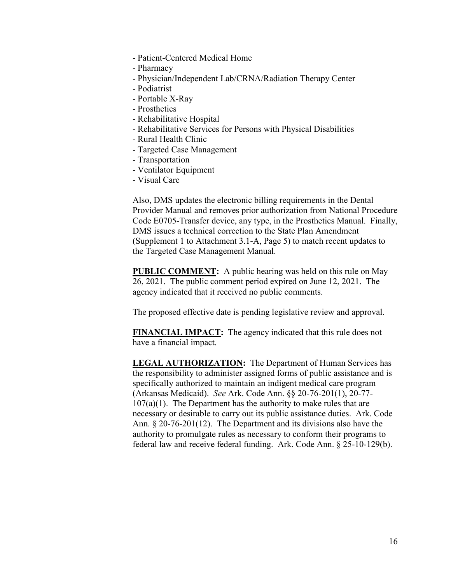- Patient-Centered Medical Home
- Pharmacy
- Physician/Independent Lab/CRNA/Radiation Therapy Center
- Podiatrist
- Portable X-Ray
- Prosthetics
- Rehabilitative Hospital
- Rehabilitative Services for Persons with Physical Disabilities
- Rural Health Clinic
- Targeted Case Management
- Transportation
- Ventilator Equipment
- Visual Care

Also, DMS updates the electronic billing requirements in the Dental Provider Manual and removes prior authorization from National Procedure Code E0705-Transfer device, any type, in the Prosthetics Manual. Finally, DMS issues a technical correction to the State Plan Amendment (Supplement 1 to Attachment 3.1-A, Page 5) to match recent updates to the Targeted Case Management Manual.

**PUBLIC COMMENT:** A public hearing was held on this rule on May 26, 2021. The public comment period expired on June 12, 2021. The agency indicated that it received no public comments.

The proposed effective date is pending legislative review and approval.

**FINANCIAL IMPACT:** The agency indicated that this rule does not have a financial impact.

**LEGAL AUTHORIZATION:** The Department of Human Services has the responsibility to administer assigned forms of public assistance and is specifically authorized to maintain an indigent medical care program (Arkansas Medicaid). *See* Ark. Code Ann. §§ 20-76-201(1), 20-77-  $107(a)(1)$ . The Department has the authority to make rules that are necessary or desirable to carry out its public assistance duties. Ark. Code Ann. § 20-76-201(12). The Department and its divisions also have the authority to promulgate rules as necessary to conform their programs to federal law and receive federal funding. Ark. Code Ann. § 25-10-129(b).